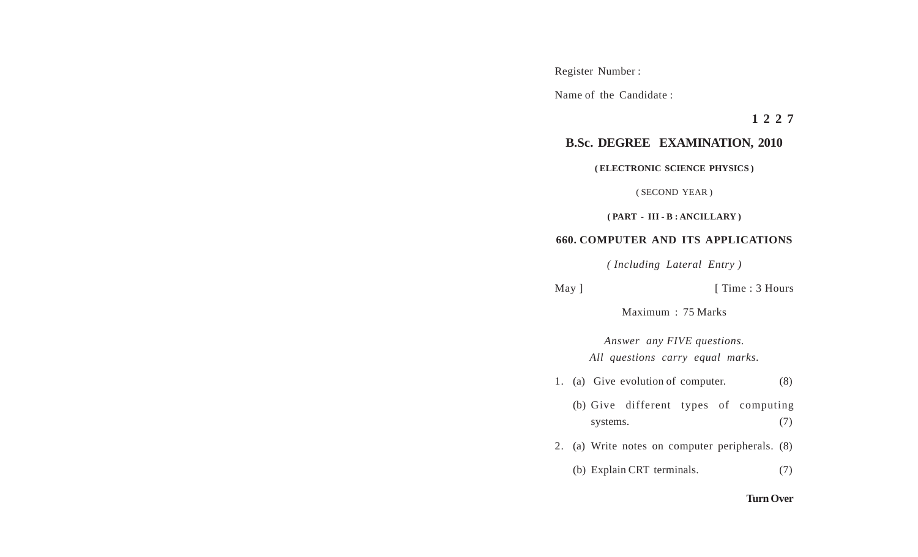Register Number :

Name of the Candidate :

**1 2 2 7**

## **B.Sc. DEGREE EXAMINATION, 2010**

**( ELECTRONIC SCIENCE PHYSICS )**

( SECOND YEAR )

**( PART - III - B : ANCILLARY )**

## **660. COMPUTER AND ITS APPLICATIONS**

*( Including Lateral Entry )*

May ] [ Time : 3 Hours

Maximum : 75 Marks

*Answer any FIVE questions. All questions carry equal marks.*

1. (a) Give evolution of computer. (8)

(b) Give different types of computing systems. (7)

2. (a) Write notes on computer peripherals. (8)

(b) Explain CRT terminals. (7)

## **Turn Over**